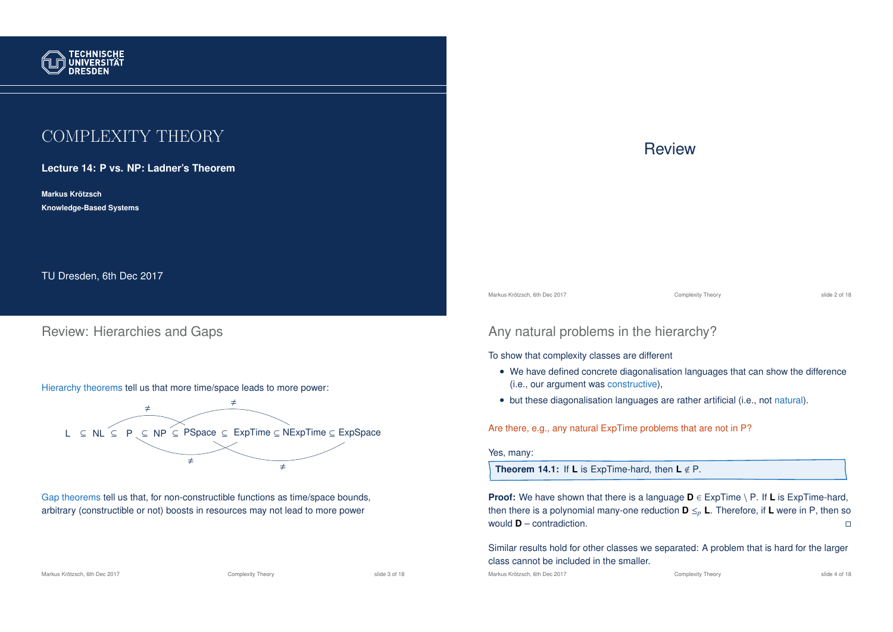

# COMPLEXITY THEORY

**Lecture 14: P vs. NP: Ladner's Theorem**

**Markus Krotzsch ¨ Knowledge-Based Systems**

TU Dresden, 6th Dec 2017

#### Review: Hierarchies and Gaps

Hierarchy theorems tell us that more time/space leads to more power:



Gap theorems tell us that, for non-constructible functions as time/space bounds, arbitrary (constructible or not) boosts in resources may not lead to more power

Markus Krötzsch, 6th Dec 2017 **Complexity Theory** Complexity Theory slide 3 of 18

Markus Krötzsch, 6th Dec 2017 **Complexity Theory** Complexity Theory slide 4 of 18

# **Review**

Markus Krötzsch, 6th Dec 2017 **Complexity Theory** Complexity Theory slide 2 of 18

#### Any natural problems in the hierarchy?

To show that complexity classes are different

- We have defined concrete diagonalisation languages that can show the difference (i.e., our argument was constructive),
- but these diagonalisation languages are rather artificial (i.e., not natural).

Are there, e.g., any natural ExpTime problems that are not in P?

Yes, many:

**Theorem 14.1:** If **L** is ExpTime-hard, then  $L \notin P$ .

**Proof:** We have shown that there is a language **D** ∈ ExpTime \ P. If **L** is ExpTime-hard, then there is a polynomial many-one reduction  $\mathbf{D} \leq_p \mathbf{L}$ . Therefore, if **L** were in P, then so would  $\mathbf{D}$  – contradiction. would **D** – contradiction.

Similar results hold for other classes we separated: A problem that is hard for the larger class cannot be included in the smaller.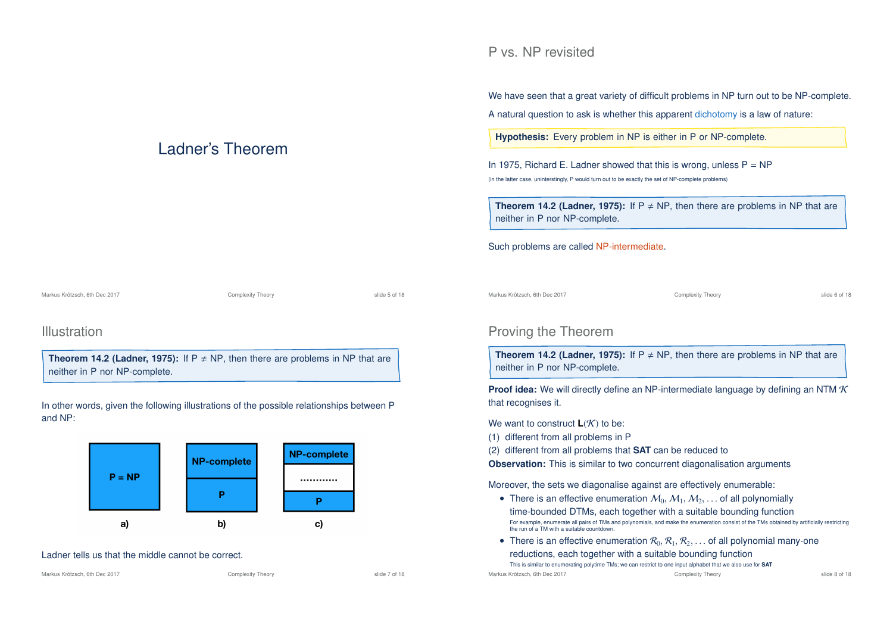# Ladner's Theorem

### P vs. NP revisited

We have seen that a great variety of difficult problems in NP turn out to be NP-complete. A natural question to ask is whether this apparent dichotomy is a law of nature:

**Hypothesis:** Every problem in NP is either in P or NP-complete.

In 1975, Richard E. Ladner showed that this is wrong, unless  $P = NP$ (in the latter case, uninterstingly, P would turn out to be exactly the set of NP-complete problems)

**Theorem 14.2 (Ladner, 1975):** If  $P \neq NP$ , then there are problems in NP that are neither in P nor NP-complete.

Such problems are called NP-intermediate.

Markus Krötzsch, 6th Dec 2017 **Complexity Theory** Complexity Theory slide 5 of 18

#### Illustration

**Theorem 14.2 (Ladner, 1975):** If  $P \neq NP$ , then there are problems in NP that are neither in P nor NP-complete.

In other words, given the following illustrations of the possible relationships between P and NP:



#### Ladner tells us that the middle cannot be correct.

Markus Krötzsch, 6th Dec 2017 **Complexity Theory** Complexity Theory slide 7 of 18

Markus Krötzsch, 6th Dec 2017 **Complexity Theory** Complexity Theory slide 6 of 18

### Proving the Theorem

**Theorem 14.2 (Ladner, 1975):** If  $P \neq NP$ , then there are problems in NP that are neither in P nor NP-complete.

**Proof idea:** We will directly define an NP-intermediate language by defining an NTM K that recognises it.

We want to construct  $L(K)$  to be:

(1) different from all problems in P

(2) different from all problems that **SAT** can be reduced to

**Observation:** This is similar to two concurrent diagonalisation arguments

Moreover, the sets we diagonalise against are effectively enumerable:

- There is an effective enumeration  $M_0, M_1, M_2, \ldots$  of all polynomially time-bounded DTMs, each together with a suitable bounding function For example, enumerate all pairs of TMs and polynomials, and make the enumeration consist of the TMs obtained by artificially restricting the run of a TM with a suitable countdown.
- There is an effective enumeration  $\mathcal{R}_0, \mathcal{R}_1, \mathcal{R}_2, \ldots$  of all polynomial many-one reductions, each together with a suitable bounding function This is similar to enumerating polytime TMs; we can restrict to one input alphabet that we also use for **SAT**

Markus Krötzsch, 6th Dec 2017 **Complexity Theory** Complexity Theory **State 8 of 18** and 18 of 18 and 18 and 18 and 18 and 18 and 18 and 18 and 18 and 18 and 18 and 18 and 18 and 18 and 18 and 18 and 18 and 18 and 18 and 18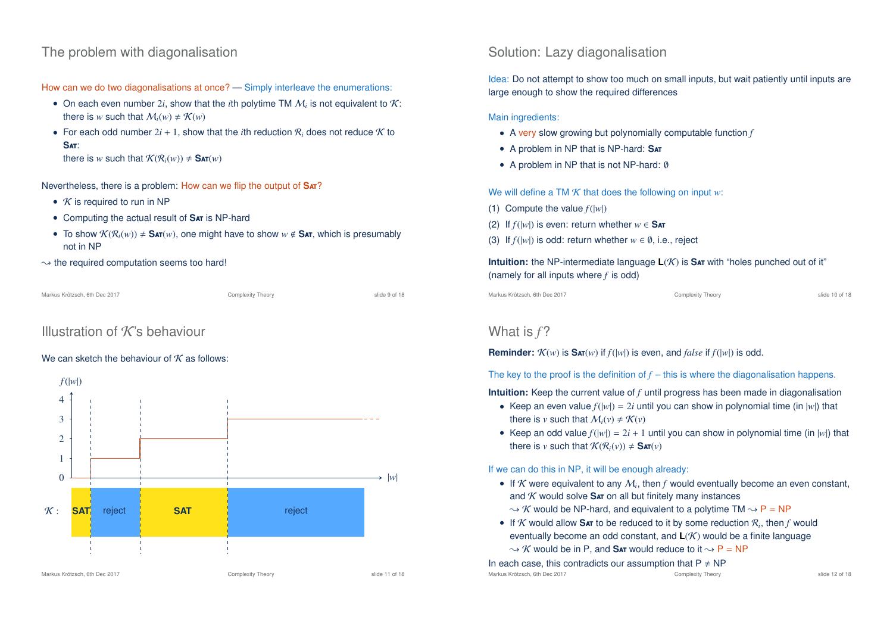### The problem with diagonalisation

How can we do two diagonalisations at once? — Simply interleave the enumerations:

- On each even number  $2i$ , show that the *i*th polytime TM  $M_i$  is not equivalent to  $K$ : there is *w* such that  $M_i(w) \neq K(w)$
- For each odd number  $2i + 1$ , show that the *i*th reduction  $\mathcal{R}_i$  does not reduce  $\mathcal K$  to **S**at:

there is *w* such that  $\mathcal{K}(\mathcal{R}_i(w)) \neq \mathsf{SAT}(w)$ 

Nevertheless, there is a problem: How can we flip the output of **S**at?

- $K$  is required to run in NP
- Computing the actual result of **S**at is NP-hard
- To show  $\mathcal{K}(\mathcal{R}_i(w)) \neq \text{SAT}(w)$ , one might have to show  $w \notin \text{SAT}$ , which is presumably not in NP

 $\rightarrow$  the required computation seems too hard!

Markus Krötzsch, 6th Dec 2017 **Complexity Theory** Complexity Theory slide 9 of 18

### Illustration of  $K$ 's behaviour

#### We can sketch the behaviour of  $K$  as follows:



### Solution: Lazy diagonalisation

Idea: Do not attempt to show too much on small inputs, but wait patiently until inputs are large enough to show the required differences

Main ingredients:

- A very slow growing but polynomially computable function *f*
- A problem in NP that is NP-hard: **S**at
- A problem in NP that is not NP-hard: ∅

We will define a TM  $K$  that does the following on input  $w$ :

- (1) Compute the value  $f(|w|)$
- (2) If  $f(|w|)$  is even: return whether  $w \in$  SAT
- (3) If  $f(|w|)$  is odd: return whether  $w \in \emptyset$ , i.e., reject

**Intuition:** the NP-intermediate language  $L(K)$  is Sat with "holes punched out of it" (namely for all inputs where *f* is odd)

Markus Krötzsch, 6th Dec 2017 **Complexity Theory** Complexity Theory slide 10 of 18

# What is  $f$ ?

**Reminder:**  $\mathcal{K}(w)$  is  $\text{SAT}(w)$  if  $f(|w|)$  is even, and *false* if  $f(|w|)$  is odd.

The key to the proof is the definition of  $f$  – this is where the diagonalisation happens.

**Intuition:** Keep the current value of *f* until progress has been made in diagonalisation

- Keep an even value  $f(|w|) = 2i$  until you can show in polynomial time (in  $|w|$ ) that there is *v* such that  $M_i(v) \neq \mathcal{K}(v)$
- Keep an odd value  $f(|w|) = 2i + 1$  until you can show in polynomial time (in  $|w|$ ) that there is *v* such that  $\mathcal{K}(\mathcal{R}_i(v)) \neq \mathsf{SAT}(v)$

If we can do this in NP, it will be enough already:

- If  $K$  were equivalent to any  $M_i$ , then  $f$  would eventually become an even constant, and  $K$  would solve  $S$ <sub>AT</sub> on all but finitely many instances
- $\rightarrow$  *K* would be NP-hard, and equivalent to a polytime TM  $\rightarrow$  P = NP
- If  $K$  would allow SAT to be reduced to it by some reduction  $R_i$ , then  $f$  would eventually become an odd constant, and **L**(K) would be a finite language  $\rightarrow$  *K* would be in P, and **SAT** would reduce to it  $\rightarrow$  P = NP

In each case, this contradicts our assumption that  $P \neq NP$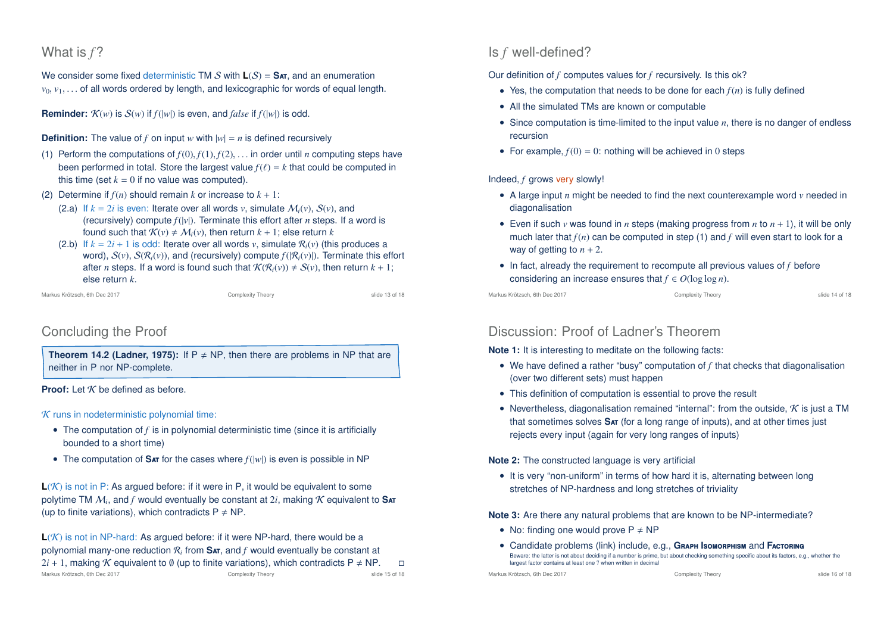# What is  $f$ ?

We consider some fixed deterministic TM S with **L**(S) = **S**at, and an enumeration  $v_0, v_1, \ldots$  of all words ordered by length, and lexicographic for words of equal length.

**Reminder:**  $\mathcal{K}(w)$  is  $\mathcal{S}(w)$  if  $f(|w|)$  is even, and *false* if  $f(|w|)$  is odd.

**Definition:** The value of *f* on input *w* with  $|w| = n$  is defined recursively

- (1) Perform the computations of  $f(0), f(1), f(2), \ldots$  in order until *n* computing steps have been performed in total. Store the largest value  $f(\ell) = k$  that could be computed in this time (set  $k = 0$  if no value was computed).
- (2) Determine if  $f(n)$  should remain *k* or increase to  $k + 1$ :
	- (2.a) If  $k = 2i$  is even: Iterate over all words *v*, simulate  $M_i(v)$ ,  $S(v)$ , and (recursively) compute  $f(|v|)$ . Terminate this effort after *n* steps. If a word is found such that  $\mathcal{K}(v) \neq \mathcal{M}_i(v)$ , then return  $k + 1$ ; else return  $k$
	- (2.b) If  $k = 2i + 1$  is odd: Iterate over all words *v*, simulate  $\mathcal{R}_i(v)$  (this produces a word),  $S(v)$ ,  $S(R_i(v))$ , and (recursively) compute  $f(|R_i(v)|)$ . Terminate this effort after *n* steps. If a word is found such that  $\mathcal{K}(\mathcal{R}_i(v)) \neq \mathcal{S}(v)$ , then return  $k + 1$ ; else return *k*.

Markus Krötzsch, 6th Dec 2017 Complexity Theory slide 13 of 18

# Concluding the Proof

**Theorem 14.2 (Ladner, 1975):** If  $P \neq NP$ , then there are problems in NP that are neither in P nor NP-complete.

#### **Proof:** Let K be defined as before.

 $K$  runs in nodeterministic polynomial time:

- The computation of *f* is in polynomial deterministic time (since it is artificially bounded to a short time)
- The computation of  $S$ <sub>AT</sub> for the cases where  $f(|w|)$  is even is possible in NP

 $L(K)$  is not in P: As argued before: if it were in P, it would be equivalent to some polytime TM  $M_i$ , and  $f$  would eventually be constant at  $2i$ , making  $\mathcal K$  equivalent to  $\mathsf{Sar}$ (up to finite variations), which contradicts  $P \neq NP$ .

L(K) is not in NP-hard: As arqued before: if it were NP-hard, there would be a polynomial many-one reduction  $\mathcal{R}_i$  from  $\mathbf{S}\textbf{a}$ <del>,</del> and  $f$  would eventually be constant at  $2i + 1$ , making K equivalent to Ø (up to finite variations), which contradicts P  $\neq$  NP.  $\Box$ <br>Markus Krötzsch, 6th Dec 2017 Markus Krötzsch, 6th Dec 2017

# Is *f* well-defined?

Our definition of *f* computes values for *f* recursively. Is this ok?

- Yes, the computation that needs to be done for each  $f(n)$  is fully defined
- All the simulated TMs are known or computable
- Since computation is time-limited to the input value *n*, there is no danger of endless recursion
- For example,  $f(0) = 0$ : nothing will be achieved in 0 steps

Indeed, *f* grows very slowly!

- A large input *n* might be needed to find the next counterexample word *v* needed in diagonalisation
- Even if such  $\nu$  was found in *n* steps (making progress from *n* to  $n + 1$ ), it will be only much later that *f*(*n*) can be computed in step (1) and *f* will even start to look for a way of getting to  $n + 2$ .
- In fact, already the requirement to recompute all previous values of *f* before considering an increase ensures that  $f \in O(\log \log n)$ .

Markus Krötzsch, 6th Dec 2017 Complexity Theory slide 14 of 18

# Discussion: Proof of Ladner's Theorem

**Note 1:** It is interesting to meditate on the following facts:

- We have defined a rather "busy" computation of *f* that checks that diagonalisation (over two different sets) must happen
- This definition of computation is essential to prove the result
- Nevertheless, diagonalisation remained "internal": from the outside,  $K$  is just a TM that sometimes solves **S**at (for a long range of inputs), and at other times just rejects every input (again for very long ranges of inputs)

#### **Note 2:** The constructed language is very artificial

• It is very "non-uniform" in terms of how hard it is, alternating between long stretches of NP-hardness and long stretches of triviality

**Note 3:** Are there any natural problems that are known to be NP-intermediate?

- No: finding one would prove  $P \neq NP$
- Candidate problems (link) include, e.g., **G**raph **I**somorphism and **F**actoring Beware: the latter is not about deciding if a number is prime, but about checking something specific about its factors, e.g., whether the largest factor contains at least one 7 when written in decimal